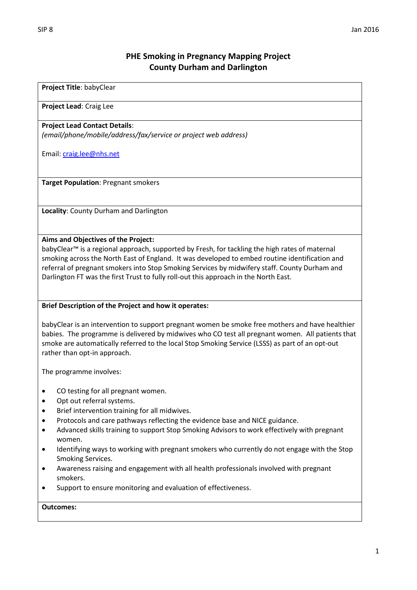# **PHE Smoking in Pregnancy Mapping Project County Durham and Darlington**

### **Project Title**: babyClear

#### **Project Lead**: Craig Lee

### **Project Lead Contact Details**:

*(email/phone/mobile/address/fax/service or project web address)*

Email[: craig.lee@nhs.net](mailto:craig.lee@nhs.net)

**Target Population**: Pregnant smokers

**Locality**: County Durham and Darlington

#### **Aims and Objectives of the Project:**

babyClear™ is a regional approach, supported by Fresh, for tackling the high rates of maternal smoking across the North East of England. It was developed to embed routine identification and referral of pregnant smokers into Stop Smoking Services by midwifery staff. County Durham and Darlington FT was the first Trust to fully roll-out this approach in the North East.

#### **Brief Description of the Project and how it operates:**

babyClear is an intervention to support pregnant women be smoke free mothers and have healthier babies. The programme is delivered by midwives who CO test all pregnant women. All patients that smoke are automatically referred to the local Stop Smoking Service (LSSS) as part of an opt-out rather than opt-in approach.

The programme involves:

- CO testing for all pregnant women.
- Opt out referral systems.
- Brief intervention training for all midwives.
- Protocols and care pathways reflecting the evidence base and NICE guidance.
- Advanced skills training to support Stop Smoking Advisors to work effectively with pregnant women.
- Identifying ways to working with pregnant smokers who currently do not engage with the Stop Smoking Services.
- Awareness raising and engagement with all health professionals involved with pregnant smokers.
- Support to ensure monitoring and evaluation of effectiveness.

#### **Outcomes:**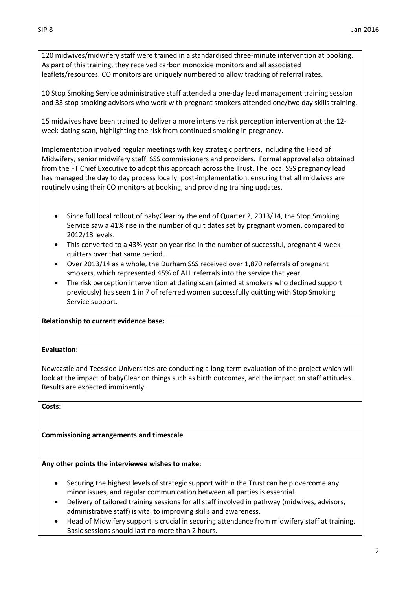120 midwives/midwifery staff were trained in a standardised three-minute intervention at booking. As part of this training, they received carbon monoxide monitors and all associated leaflets/resources. CO monitors are uniquely numbered to allow tracking of referral rates.

10 Stop Smoking Service administrative staff attended a one-day lead management training session and 33 stop smoking advisors who work with pregnant smokers attended one/two day skills training.

15 midwives have been trained to deliver a more intensive risk perception intervention at the 12 week dating scan, highlighting the risk from continued smoking in pregnancy.

Implementation involved regular meetings with key strategic partners, including the Head of Midwifery, senior midwifery staff, SSS commissioners and providers. Formal approval also obtained from the FT Chief Executive to adopt this approach across the Trust. The local SSS pregnancy lead has managed the day to day process locally, post-implementation, ensuring that all midwives are routinely using their CO monitors at booking, and providing training updates.

- Since full local rollout of babyClear by the end of Quarter 2, 2013/14, the Stop Smoking Service saw a 41% rise in the number of quit dates set by pregnant women, compared to 2012/13 levels.
- This converted to a 43% year on year rise in the number of successful, pregnant 4-week quitters over that same period.
- Over 2013/14 as a whole, the Durham SSS received over 1,870 referrals of pregnant smokers, which represented 45% of ALL referrals into the service that year.
- The risk perception intervention at dating scan (aimed at smokers who declined support previously) has seen 1 in 7 of referred women successfully quitting with Stop Smoking Service support.

**Relationship to current evidence base:**

## **Evaluation**:

Newcastle and Teesside Universities are conducting a long-term evaluation of the project which will look at the impact of babyClear on things such as birth outcomes, and the impact on staff attitudes. Results are expected imminently.

**Costs**:

## **Commissioning arrangements and timescale**

**Any other points the interviewee wishes to make**:

- Securing the highest levels of strategic support within the Trust can help overcome any minor issues, and regular communication between all parties is essential.
- Delivery of tailored training sessions for all staff involved in pathway (midwives, advisors, administrative staff) is vital to improving skills and awareness.
- Head of Midwifery support is crucial in securing attendance from midwifery staff at training. Basic sessions should last no more than 2 hours.